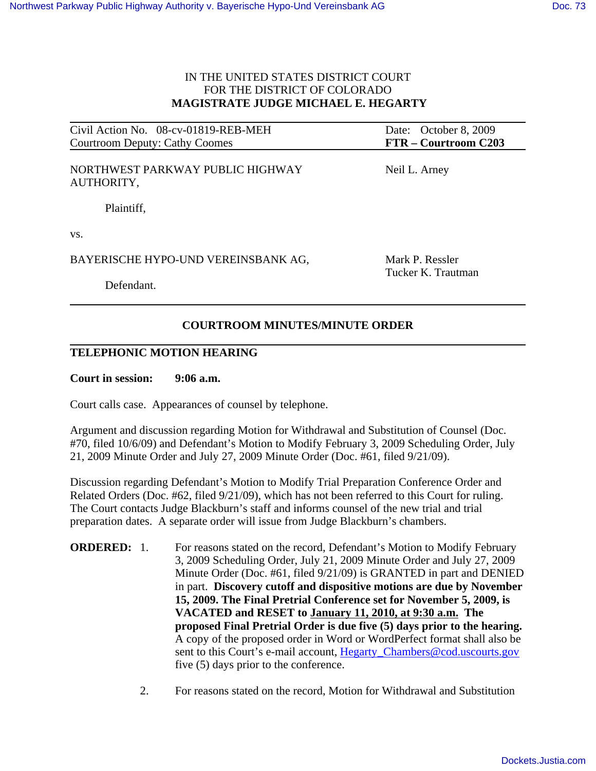## IN THE UNITED STATES DISTRICT COURT FOR THE DISTRICT OF COLORADO  **MAGISTRATE JUDGE MICHAEL E. HEGARTY**

| Civil Action No. 08-cv-01819-REB-MEH           | Date: October 8, 2009                 |
|------------------------------------------------|---------------------------------------|
| Courtroom Deputy: Cathy Coomes                 | FTR – Courtroom C203                  |
| NORTHWEST PARKWAY PUBLIC HIGHWAY<br>AUTHORITY, | Neil L. Arney                         |
| Plaintiff,                                     |                                       |
| VS.                                            |                                       |
| BAYERISCHE HYPO-UND VEREINSBANK AG,            | Mark P. Ressler<br>Tucker K. Trautman |
| Defendant.                                     |                                       |

# **COURTROOM MINUTES/MINUTE ORDER**

### **TELEPHONIC MOTION HEARING**

**Court in session: 9:06 a.m.**

Court calls case. Appearances of counsel by telephone.

Argument and discussion regarding Motion for Withdrawal and Substitution of Counsel (Doc. #70, filed 10/6/09) and Defendant's Motion to Modify February 3, 2009 Scheduling Order, July 21, 2009 Minute Order and July 27, 2009 Minute Order (Doc. #61, filed 9/21/09).

Discussion regarding Defendant's Motion to Modify Trial Preparation Conference Order and Related Orders (Doc. #62, filed 9/21/09), which has not been referred to this Court for ruling. The Court contacts Judge Blackburn's staff and informs counsel of the new trial and trial preparation dates. A separate order will issue from Judge Blackburn's chambers.

**ORDERED:** 1. For reasons stated on the record, Defendant's Motion to Modify February 3, 2009 Scheduling Order, July 21, 2009 Minute Order and July 27, 2009 Minute Order (Doc. #61, filed 9/21/09) is GRANTED in part and DENIED in part. **Discovery cutoff and dispositive motions are due by November 15, 2009. The Final Pretrial Conference set for November 5, 2009, is VACATED and RESET to January 11, 2010, at 9:30 a.m. The proposed Final Pretrial Order is due five (5) days prior to the hearing.** A copy of the proposed order in Word or WordPerfect format shall also be sent to this Court's e-mail account, Hegarty Chambers@cod.uscourts.gov five (5) days prior to the conference.

2. For reasons stated on the record, Motion for Withdrawal and Substitution